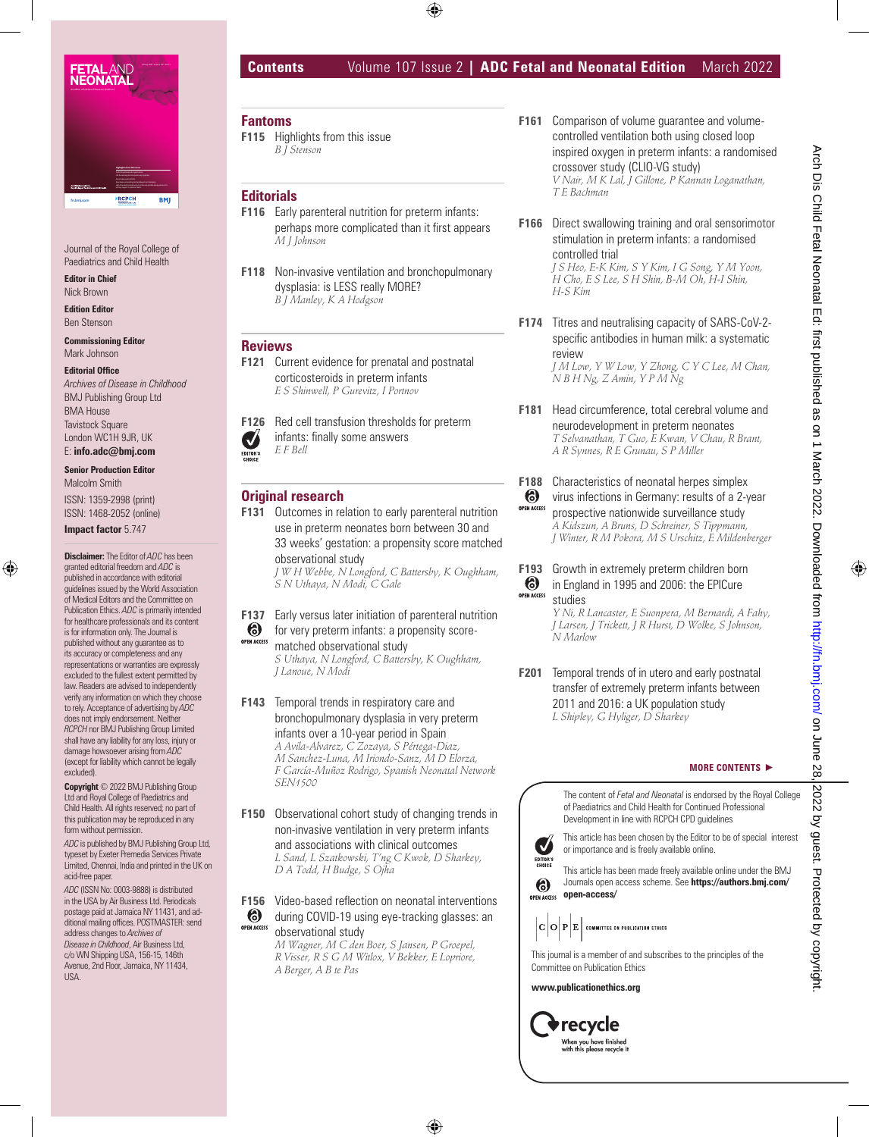

Journal of the Royal College of Paediatrics and Child Health

**Editor in Chief** Nick Brown

**Edition Editor** Ben Stenson

**Commissioning Editor** Mark Johnson

#### **Editorial Office**

*Archives of Disease in Childhood* BMJ Publishing Group Ltd BMA House Tavistock Square London WC1H 9JR, UK E: **info.adc@bmj.com**

**Senior Production Editor**

Malcolm Smith ISSN: 1359-2998 (print) ISSN: 1468-2052 (online)

**Impact factor** 5.747

**Disclaimer:** The Editor of *ADC* has been granted editorial freedom and *ADC* is published in accordance with editorial guidelines issued by the World Association of Medical Editors and the Committee on Publication Ethics. *ADC* is primarily intended for healthcare professionals and its content is for information only. The Journal is published without any guarantee as to its accuracy or completeness and any representations or warranties are expressly excluded to the fullest extent permitted by law. Readers are advised to independently verify any information on which they choose to rely. Acceptance of advertising by *ADC* does not imply endorsement. Neither *RCPCH* nor BMJ Publishing Group Limited shall have any liability for any loss, injury or damage howsoever arising from *ADC* (except for liability which cannot be legally excluded).

**Copyright** © 2022 BMJ Publishing Group Ltd and Royal College of Paediatrics and Child Health. All rights reserved; no part of this publication may be reproduced in any form without permission.

*ADC* is published by BMJ Publishing Group Ltd, typeset by Exeter Premedia Services Private Limited, Chennai, India and printed in the UK on acid-free paper.

*ADC* (ISSN No: 0003-9888) is distributed in the USA by Air Business Ltd. Periodicals postage paid at Jamaica NY 11431, and additional mailing offices. POSTMASTER: send address changes to *Archives of Disease in Childhood*, Air Business Ltd, c/o WN Shipping USA, 156-15, 146th Avenue, 2nd Floor, Jamaica, NY 11434, USA.

# **Contents** Volume 107 Issue 2 **| ADC Fetal and Neonatal Edition** March 2022

# **Fantoms**

**F115** Highlights from this issue *B J Stenson*

### **Editorials**

- **F116** Early parenteral nutrition for preterm infants: perhaps more complicated than it first appears *M J Johnson*
- **F118** Non-invasive ventilation and bronchopulmonary dysplasia: is LESS really MORE? *B J Manley, K A Hodgson*

# **Reviews**

**F121** Current evidence for prenatal and postnatal corticosteroids in preterm infants *E S Shinwell, P Gurevitz, I Portnov*

**F126** Red cell transfusion thresholds for preterm infants: finally some answers  $\blacktriangledown$ *E F Bell* EDITOR'S

# **Original research**

**F131** Outcomes in relation to early parenteral nutrition use in preterm neonates born between 30 and 33 weeks' gestation: a propensity score matched observational study

*J W H Webbe, N Longford, C Battersby, K Oughham, S N Uthaya, N Modi, C Gale*

- **F137** Early versus later initiation of parenteral nutrition
- for very preterm infants: a propensity score-**OPEN ACCESS**

matched observational study *S Uthaya, N Longford, C Battersby, K Oughham, J Lanoue, N Modi*

- **F143** Temporal trends in respiratory care and bronchopulmonary dysplasia in very preterm infants over a 10-year period in Spain *A Avila-Alvarez, C Zozaya, S Pértega-Diaz, M Sanchez-Luna, M Iriondo-Sanz, M D Elorza, F García-Muñoz Rodrigo, Spanish Neonatal Network SEN1500*
- **F150** Observational cohort study of changing trends in non-invasive ventilation in very preterm infants and associations with clinical outcomes *L Sand, L Szatkowski, T'ng C Kwok, D Sharkey, D A Todd, H Budge, S Ojha*

**F156** Video-based reflection on neonatal interventions

during COVID-19 using eye-tracking glasses: an **OPEN ACCESS** observational study *M Wagner, M C den Boer, S Jansen, P Groepel, R Visser, R S G M Witlox, V Bekker, E Lopriore, A Berger, A B te Pas*

- **F161** Comparison of volume guarantee and volumecontrolled ventilation both using closed loop inspired oxygen in preterm infants: a randomised crossover study (CLIO-VG study) *V Nair, M K Lal, J Gillone, P Kannan Loganathan, T E Bachman*
- **F166** Direct swallowing training and oral sensorimotor stimulation in preterm infants: a randomised controlled trial *J S Heo, E-K Kim, S Y Kim, I G Song, Y M Yoon,*

*H Cho, E S Lee, S H Shin, B-M Oh, H-I Shin, H-S Kim*

**F174** Titres and neutralising capacity of SARS-CoV-2 specific antibodies in human milk: a systematic review

*J M Low, Y W Low, Y Zhong, C Y C Lee, M Chan, N B H Ng, Z Amin, Y P M Ng*

- **F181** Head circumference, total cerebral volume and neurodevelopment in preterm neonates *T Selvanathan, T Guo, E Kwan, V Chau, R Brant, A R Synnes, R E Grunau, S P Miller*
- **F188** Characteristics of neonatal herpes simplex

 $\circledcirc$ virus infections in Germany: results of a 2-year **OPEN ACCESS** prospective nationwide surveillance study *A Kidszun, A Bruns, D Schreiner, S Tippmann, J Winter, R M Pokora, M S Urschitz, E Mildenberger*

**F193** Growth in extremely preterm children born  $\boldsymbol{6}$ in England in 1995 and 2006: the EPICure **OPEN ACCESS** studies

*Y Ni, R Lancaster, E Suonpera, M Bernardi, A Fahy, J Larsen, J Trickett, J R Hurst, D Wolke, S Johnson, N Marlow*

**F201** Temporal trends of in utero and early postnatal transfer of extremely preterm infants between 2011 and 2016: a UK population study *L Shipley, G Hyliger, D Sharkey*

#### **MORE CONTENTS B**

The content of *Fetal and Neonatal* is endorsed by the Royal College of Paediatrics and Child Health for Continued Professional Development in line with RCPCH CPD guidelines



This article has been chosen by the Editor to be of special interest or importance and is freely available online.

This article has been made freely available online under the BMJ Journals open access scheme. See **https://authors.bmj.com/ open access open-access/** 

 $|\mathbf{C}|\mathbf{O}|\mathbf{P}|\mathbf{E}|$  committee on publication ethics





**www.publicationethics.org**